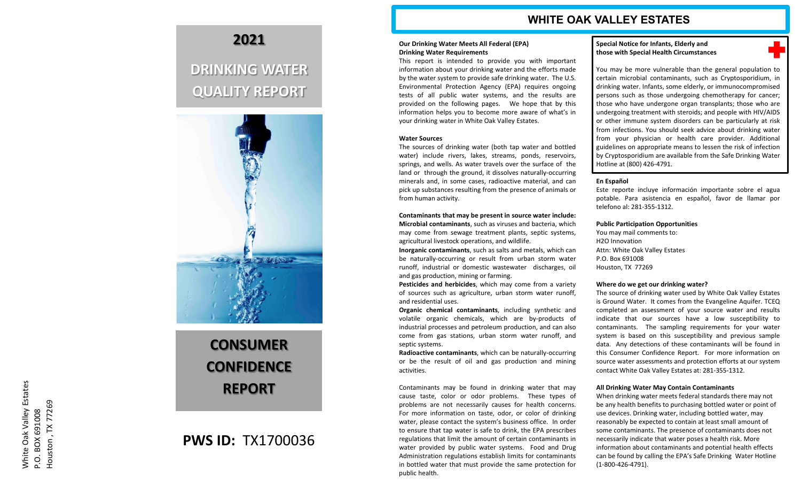# **WHITE OAK VALLEY ESTATES**

#### **Our Drinking Water Meets All Federal (EPA) Drinking Water Requirements**

This report is intended to provide you with important information about your drinking water and the efforts made by the water system to provide safe drinking water. The U.S. Environmental Protection Agency (EPA) requires ongoing tests of all public water systems, and the results are provided on the following pages . We hope that by this information helps you to become more aware of what's in your drinking water in White Oak Valley Estates .

#### **Water Sources**

The sources of drinking water (both tap water and bottled water) include rivers, lakes, streams, ponds, reservoirs, springs, and wells . As water travels over the surface of the land or through the ground, it dissolves naturally -occurring minerals and, in some cases, radioactive material, and can pick up substances resulting from the presence of animals or from human activity .

**Contaminants that may be present in source water include : Microbial contaminants** , such as viruses and bacteria, which may come from sewage treatment plants, septic systems, agricultural livestock operations, and wildlife .

Inorganic contaminants, such as salts and metals, which can be naturally -occurring or result from urban storm water runoff, industrial or domestic wastewater discharges, oil and gas production, mining or farming .

**Pesticides and herbicides** , which may come from a variety of sources such as agriculture, urban storm water runoff, and residential uses .

**Organic chemical contaminants** , including synthetic and volatile organic chemicals, which are by -products of industrial processes and petroleum production, and can also come from gas stations, urban storm water runoff, and septic systems .

**Radioactive contaminants** , which can be naturally -occurring or be the result of oil and gas production and mining activities .

Contaminants may be found in drinking water that may cause taste, color or odor problems . These types of problems are not necessarily causes for health concerns . For more information on taste, odor, or color of drinking water, please contact the system's business office . In order to ensure that tap water is safe to drink, the EPA prescribes regulations that limit the amount of certain contaminants in water provided by public water systems . Food and Drug Administration regulations establish limits for contaminants in bottled water that must provide the same protection for public health .

#### **Special Notice for Infants, Elderly and those with Special Health Circumstances**

٠

You may be more vulnerable than the general population to certain microbial contaminants, such as Cryptosporidium, in drinking water . Infants, some elderly, or immunocompromised persons such as those undergoing chemotherapy for cancer ; those who have undergone organ transplants ; those who are undergoing treatment with steroids ; and people with HIV/AIDS or other immune system disorders can be particularly at risk from infections . You should seek advice about drinking water from your physician or health care provider . Additional guidelines on appropriate means to lessen the risk of infection by Cryptosporidium are available from the Safe Drinking Water Hotline at (800) 426-4791.

## **En Español**

Este reporte incluye información importante sobre el agua potable . Para asistencia en español, favor de llamar por telefono al : 281 -355 -1312 .

**Public Participation Opportunities**

You may mail comments to : H 2 O Innovation Attn : White Oak Valley Estates P . O . Box 691008 Houston, TX 77269

#### **Where do we get our drinking water?**

The source of drinking water used by White Oak Valley Estates is Ground Water . It comes from the Evangeline Aquifer . TCEQ completed an assessment of your source water and results indicate that our sources have a low susceptibility to contaminants . The sampling requirements for your water system is based on this susceptibility and previous sample data . Any detections of these contaminants will be found in this Consumer Confidence Report . For more information on source water assessments and protection efforts at our system contact White Oak Valley Estates at: 281-355-1312.

#### **All Drinking Water May Contain Contaminants**

When drinking water meets federal standards there may not be any health benefits to purchasing bottled water or point of use devices. Drinking water, including bottled water, may reasonably be expected to contain at least small amount of some contaminants. The presence of contaminants does not necessarily indicate that water poses a health risk. More information about contaminants and potential health effects can be found by calling the EPA's Safe Drinking Water Hotline (1 -800 -426 -4791).

# **2021**

# **DRINKING WATER QUALITY REPORT**



# **CONSUMER CONFIDENCE REPORT**

# **PWS ID:** TX1700036